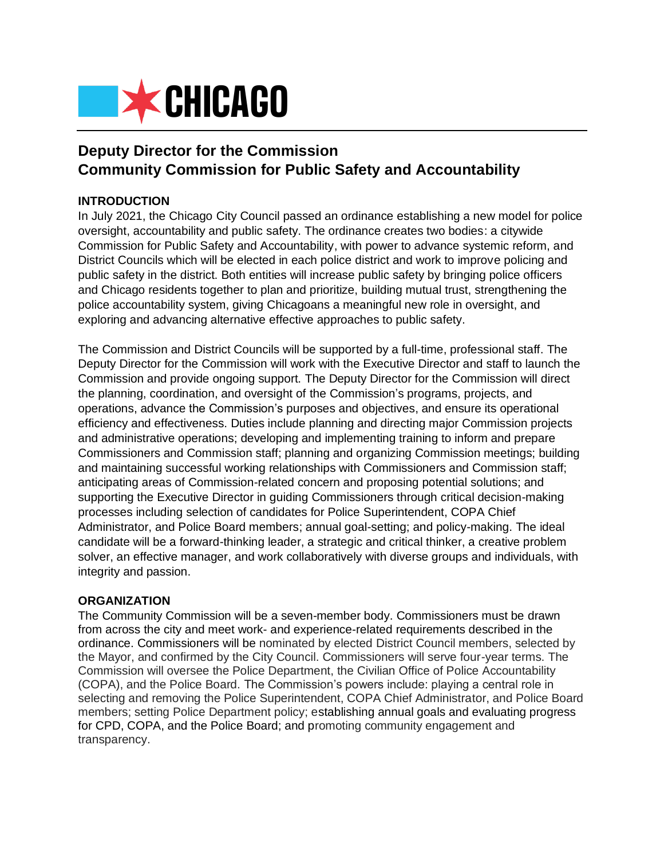

# **Deputy Director for the Commission Community Commission for Public Safety and Accountability**

## **INTRODUCTION**

In July 2021, the Chicago City Council passed an ordinance establishing a new model for police oversight, accountability and public safety. The ordinance creates two bodies: a citywide Commission for Public Safety and Accountability, with power to advance systemic reform, and District Councils which will be elected in each police district and work to improve policing and public safety in the district. Both entities will increase public safety by bringing police officers and Chicago residents together to plan and prioritize, building mutual trust, strengthening the police accountability system, giving Chicagoans a meaningful new role in oversight, and exploring and advancing alternative effective approaches to public safety.

The Commission and District Councils will be supported by a full-time, professional staff. The Deputy Director for the Commission will work with the Executive Director and staff to launch the Commission and provide ongoing support. The Deputy Director for the Commission will direct the planning, coordination, and oversight of the Commission's programs, projects, and operations, advance the Commission's purposes and objectives, and ensure its operational efficiency and effectiveness. Duties include planning and directing major Commission projects and administrative operations; developing and implementing training to inform and prepare Commissioners and Commission staff; planning and organizing Commission meetings; building and maintaining successful working relationships with Commissioners and Commission staff; anticipating areas of Commission-related concern and proposing potential solutions; and supporting the Executive Director in guiding Commissioners through critical decision-making processes including selection of candidates for Police Superintendent, COPA Chief Administrator, and Police Board members; annual goal-setting; and policy-making. The ideal candidate will be a forward-thinking leader, a strategic and critical thinker, a creative problem solver, an effective manager, and work collaboratively with diverse groups and individuals, with integrity and passion.

#### **ORGANIZATION**

The Community Commission will be a seven-member body. Commissioners must be drawn from across the city and meet work- and experience-related requirements described in the ordinance. Commissioners will be nominated by elected District Council members, selected by the Mayor, and confirmed by the City Council. Commissioners will serve four-year terms. The Commission will oversee the Police Department, the Civilian Office of Police Accountability (COPA), and the Police Board. The Commission's powers include: playing a central role in selecting and removing the Police Superintendent, COPA Chief Administrator, and Police Board members; setting Police Department policy; establishing annual goals and evaluating progress for CPD, COPA, and the Police Board; and promoting community engagement and transparency.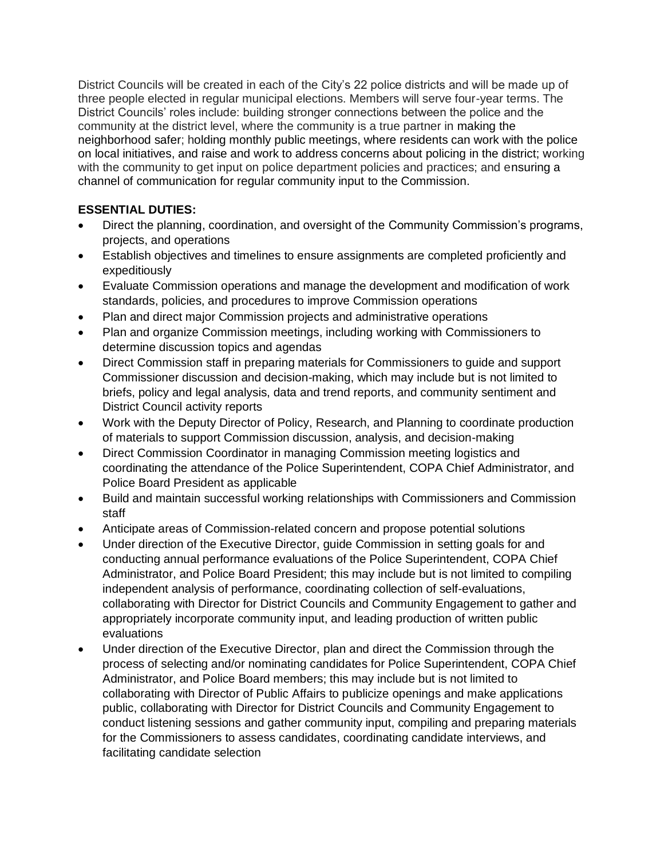District Councils will be created in each of the City's 22 police districts and will be made up of three people elected in regular municipal elections. Members will serve four-year terms. The District Councils' roles include: building stronger connections between the police and the community at the district level, where the community is a true partner in making the neighborhood safer; holding monthly public meetings, where residents can work with the police on local initiatives, and raise and work to address concerns about policing in the district; working with the community to get input on police department policies and practices; and ensuring a channel of communication for regular community input to the Commission.

# **ESSENTIAL DUTIES:**

- Direct the planning, coordination, and oversight of the Community Commission's programs, projects, and operations
- Establish objectives and timelines to ensure assignments are completed proficiently and expeditiously
- Evaluate Commission operations and manage the development and modification of work standards, policies, and procedures to improve Commission operations
- Plan and direct major Commission projects and administrative operations
- Plan and organize Commission meetings, including working with Commissioners to determine discussion topics and agendas
- Direct Commission staff in preparing materials for Commissioners to guide and support Commissioner discussion and decision-making, which may include but is not limited to briefs, policy and legal analysis, data and trend reports, and community sentiment and District Council activity reports
- Work with the Deputy Director of Policy, Research, and Planning to coordinate production of materials to support Commission discussion, analysis, and decision-making
- Direct Commission Coordinator in managing Commission meeting logistics and coordinating the attendance of the Police Superintendent, COPA Chief Administrator, and Police Board President as applicable
- Build and maintain successful working relationships with Commissioners and Commission staff
- Anticipate areas of Commission-related concern and propose potential solutions
- Under direction of the Executive Director, guide Commission in setting goals for and conducting annual performance evaluations of the Police Superintendent, COPA Chief Administrator, and Police Board President; this may include but is not limited to compiling independent analysis of performance, coordinating collection of self-evaluations, collaborating with Director for District Councils and Community Engagement to gather and appropriately incorporate community input, and leading production of written public evaluations
- Under direction of the Executive Director, plan and direct the Commission through the process of selecting and/or nominating candidates for Police Superintendent, COPA Chief Administrator, and Police Board members; this may include but is not limited to collaborating with Director of Public Affairs to publicize openings and make applications public, collaborating with Director for District Councils and Community Engagement to conduct listening sessions and gather community input, compiling and preparing materials for the Commissioners to assess candidates, coordinating candidate interviews, and facilitating candidate selection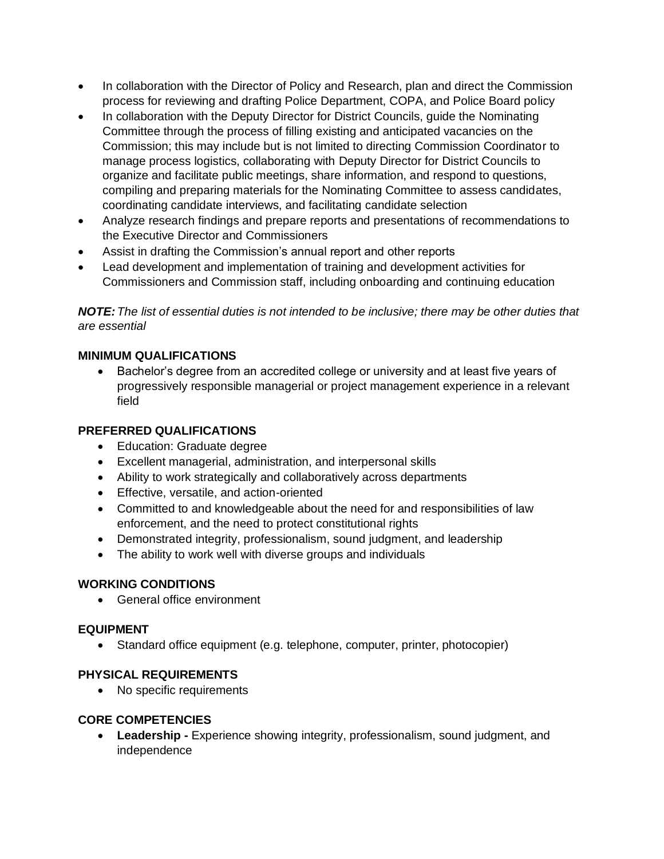- In collaboration with the Director of Policy and Research, plan and direct the Commission process for reviewing and drafting Police Department, COPA, and Police Board policy
- In collaboration with the Deputy Director for District Councils, guide the Nominating Committee through the process of filling existing and anticipated vacancies on the Commission; this may include but is not limited to directing Commission Coordinator to manage process logistics, collaborating with Deputy Director for District Councils to organize and facilitate public meetings, share information, and respond to questions, compiling and preparing materials for the Nominating Committee to assess candidates, coordinating candidate interviews, and facilitating candidate selection
- Analyze research findings and prepare reports and presentations of recommendations to the Executive Director and Commissioners
- Assist in drafting the Commission's annual report and other reports
- Lead development and implementation of training and development activities for Commissioners and Commission staff, including onboarding and continuing education

*NOTE:The list of essential duties is not intended to be inclusive; there may be other duties that are essential*

## **MINIMUM QUALIFICATIONS**

• Bachelor's degree from an accredited college or university and at least five years of progressively responsible managerial or project management experience in a relevant field

#### **PREFERRED QUALIFICATIONS**

- Education: Graduate degree
- Excellent managerial, administration, and interpersonal skills
- Ability to work strategically and collaboratively across departments
- Effective, versatile, and action-oriented
- Committed to and knowledgeable about the need for and responsibilities of law enforcement, and the need to protect constitutional rights
- Demonstrated integrity, professionalism, sound judgment, and leadership
- The ability to work well with diverse groups and individuals

#### **WORKING CONDITIONS**

• General office environment

#### **EQUIPMENT**

• Standard office equipment (e.g. telephone, computer, printer, photocopier)

#### **PHYSICAL REQUIREMENTS**

• No specific requirements

#### **CORE COMPETENCIES**

• **Leadership -** Experience showing integrity, professionalism, sound judgment, and independence